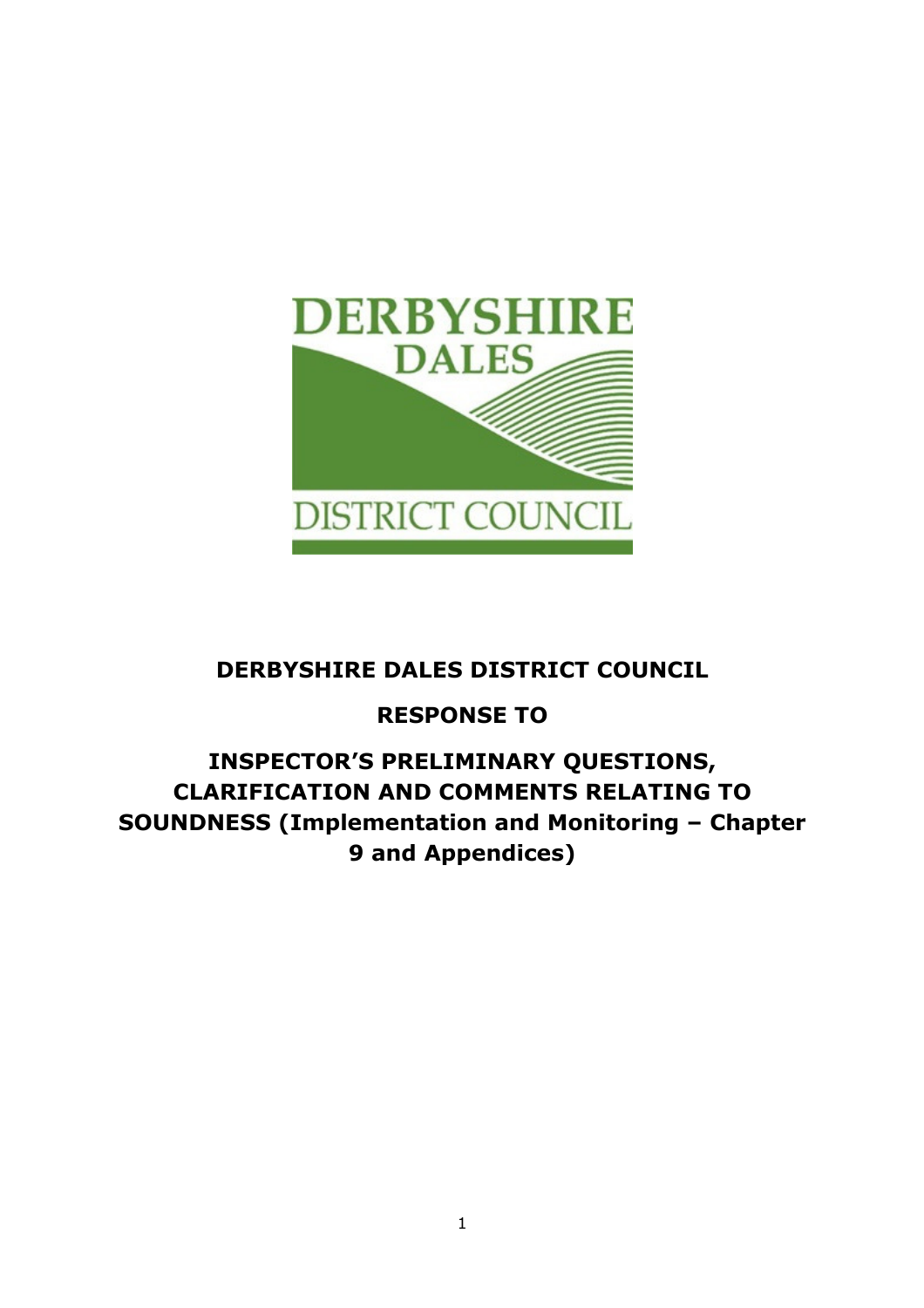

## DERBYSHIRE DALES DISTRICT COUNCIL

# RESPONSE TO

## INSPECTOR'S PRELIMINARY QUESTIONS, CLARIFICATION AND COMMENTS RELATING TO SOUNDNESS (Implementation and Monitoring – Chapter 9 and Appendices)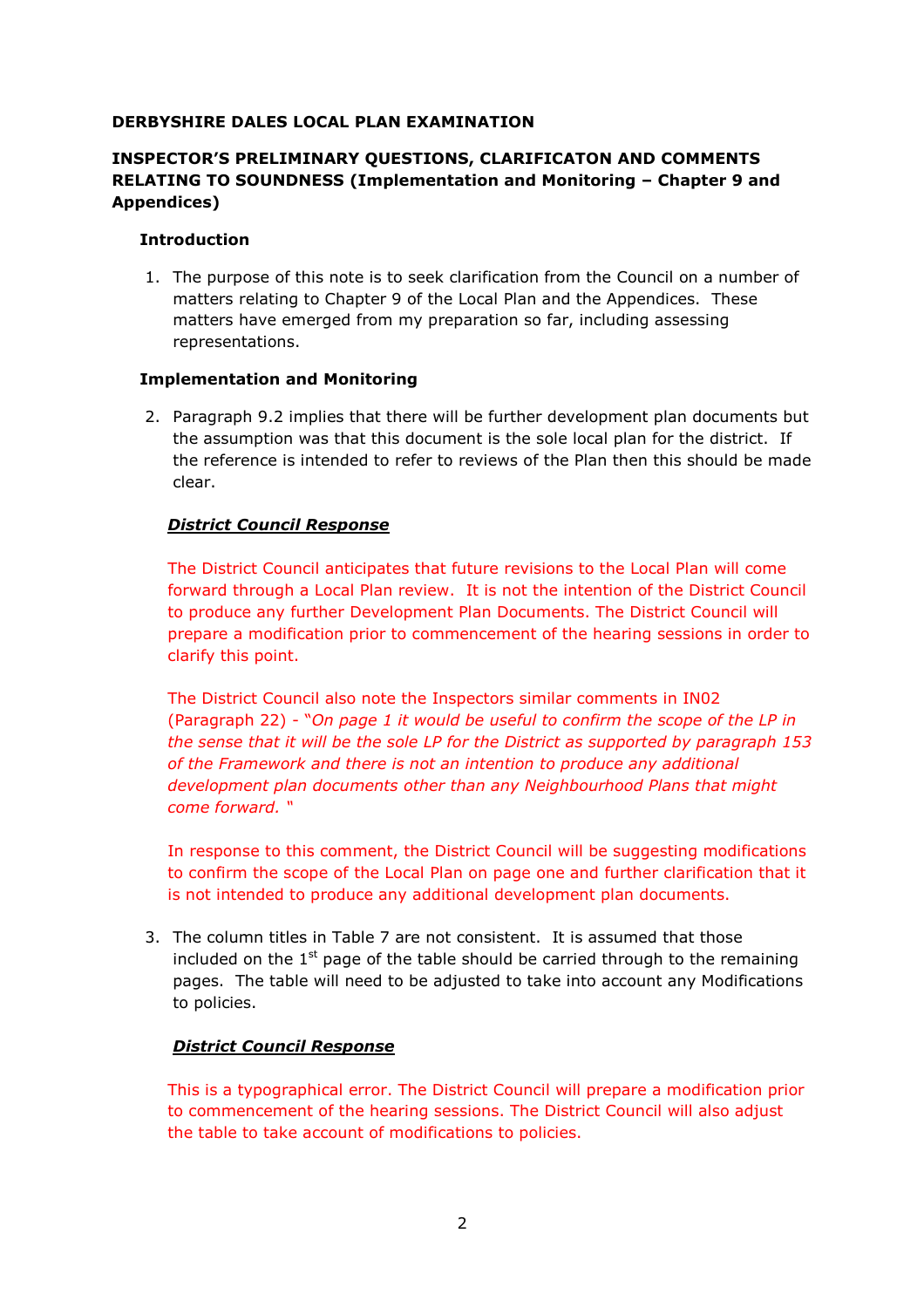## DERBYSHIRE DALES LOCAL PLAN EXAMINATION

## INSPECTOR'S PRELIMINARY QUESTIONS, CLARIFICATON AND COMMENTS RELATING TO SOUNDNESS (Implementation and Monitoring – Chapter 9 and Appendices)

#### Introduction

1. The purpose of this note is to seek clarification from the Council on a number of matters relating to Chapter 9 of the Local Plan and the Appendices. These matters have emerged from my preparation so far, including assessing representations.

#### Implementation and Monitoring

2. Paragraph 9.2 implies that there will be further development plan documents but the assumption was that this document is the sole local plan for the district. If the reference is intended to refer to reviews of the Plan then this should be made clear.

#### District Council Response

The District Council anticipates that future revisions to the Local Plan will come forward through a Local Plan review. It is not the intention of the District Council to produce any further Development Plan Documents. The District Council will prepare a modification prior to commencement of the hearing sessions in order to clarify this point.

The District Council also note the Inspectors similar comments in IN02 (Paragraph 22) - "On page 1 it would be useful to confirm the scope of the LP in the sense that it will be the sole LP for the District as supported by paragraph 153 of the Framework and there is not an intention to produce any additional development plan documents other than any Neighbourhood Plans that might come forward. "

In response to this comment, the District Council will be suggesting modifications to confirm the scope of the Local Plan on page one and further clarification that it is not intended to produce any additional development plan documents.

3. The column titles in Table 7 are not consistent. It is assumed that those included on the  $1<sup>st</sup>$  page of the table should be carried through to the remaining pages. The table will need to be adjusted to take into account any Modifications to policies.

## District Council Response

This is a typographical error. The District Council will prepare a modification prior to commencement of the hearing sessions. The District Council will also adjust the table to take account of modifications to policies.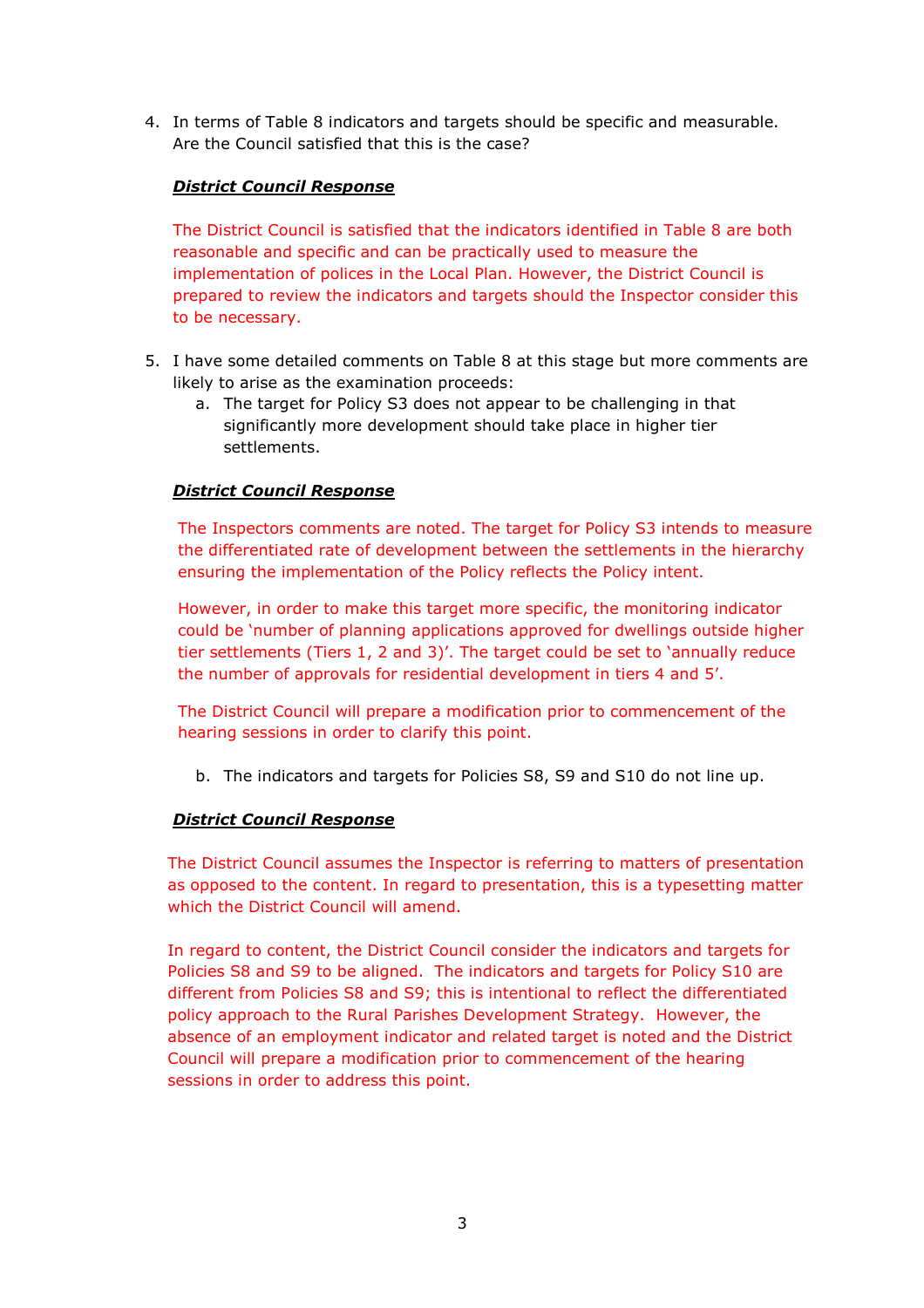4. In terms of Table 8 indicators and targets should be specific and measurable. Are the Council satisfied that this is the case?

## District Council Response

The District Council is satisfied that the indicators identified in Table 8 are both reasonable and specific and can be practically used to measure the implementation of polices in the Local Plan. However, the District Council is prepared to review the indicators and targets should the Inspector consider this to be necessary.

- 5. I have some detailed comments on Table 8 at this stage but more comments are likely to arise as the examination proceeds:
	- a. The target for Policy S3 does not appear to be challenging in that significantly more development should take place in higher tier settlements.

## District Council Response

The Inspectors comments are noted. The target for Policy S3 intends to measure the differentiated rate of development between the settlements in the hierarchy ensuring the implementation of the Policy reflects the Policy intent.

However, in order to make this target more specific, the monitoring indicator could be 'number of planning applications approved for dwellings outside higher tier settlements (Tiers 1, 2 and 3)'. The target could be set to 'annually reduce the number of approvals for residential development in tiers 4 and 5'.

The District Council will prepare a modification prior to commencement of the hearing sessions in order to clarify this point.

b. The indicators and targets for Policies S8, S9 and S10 do not line up.

## District Council Response

The District Council assumes the Inspector is referring to matters of presentation as opposed to the content. In regard to presentation, this is a typesetting matter which the District Council will amend.

In regard to content, the District Council consider the indicators and targets for Policies S8 and S9 to be aligned. The indicators and targets for Policy S10 are different from Policies S8 and S9; this is intentional to reflect the differentiated policy approach to the Rural Parishes Development Strategy. However, the absence of an employment indicator and related target is noted and the District Council will prepare a modification prior to commencement of the hearing sessions in order to address this point.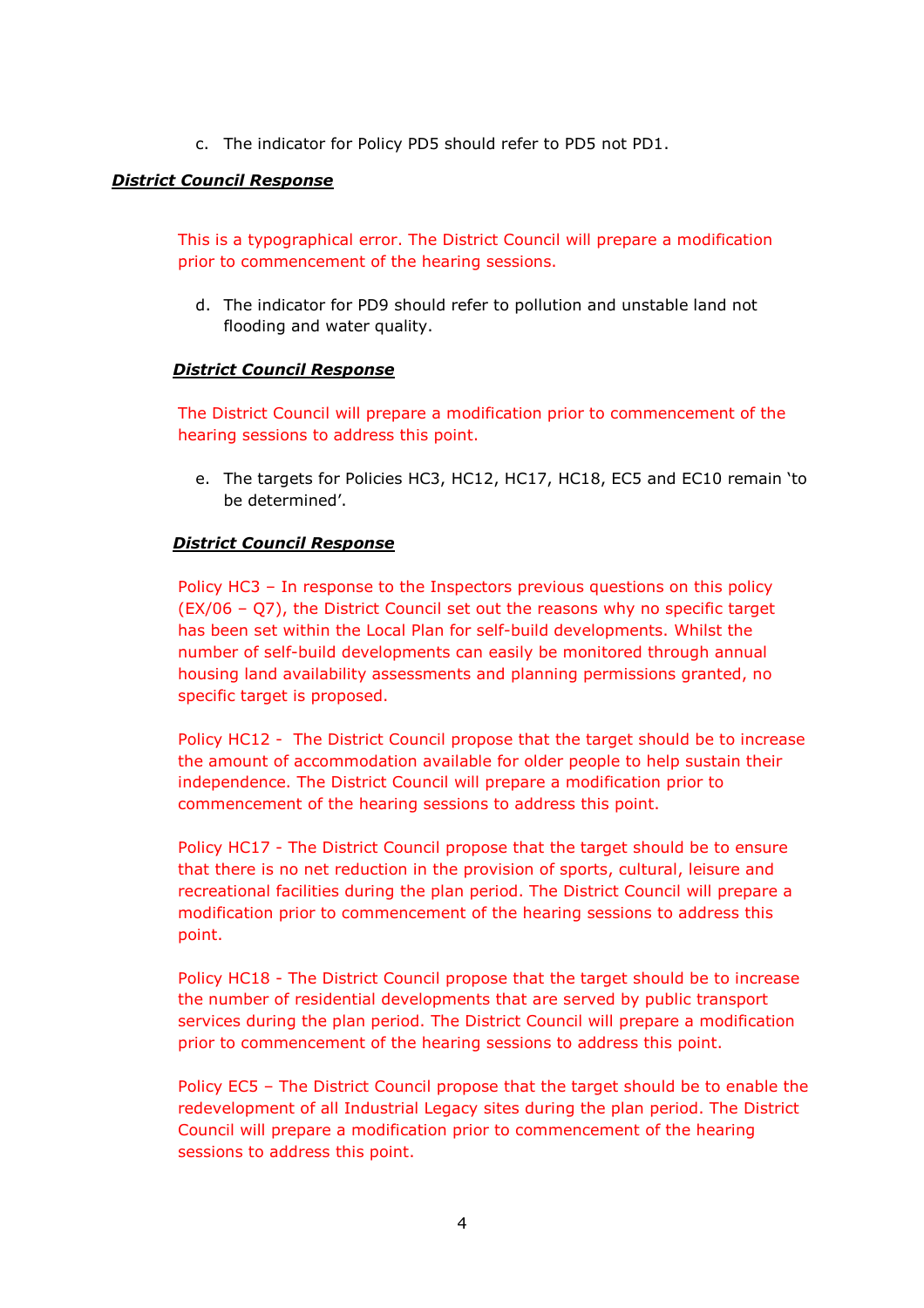c. The indicator for Policy PD5 should refer to PD5 not PD1.

### District Council Response

This is a typographical error. The District Council will prepare a modification prior to commencement of the hearing sessions.

d. The indicator for PD9 should refer to pollution and unstable land not flooding and water quality.

#### District Council Response

The District Council will prepare a modification prior to commencement of the hearing sessions to address this point.

e. The targets for Policies HC3, HC12, HC17, HC18, EC5 and EC10 remain 'to be determined'.

#### District Council Response

Policy HC3 – In response to the Inspectors previous questions on this policy (EX/06 – Q7), the District Council set out the reasons why no specific target has been set within the Local Plan for self-build developments. Whilst the number of self-build developments can easily be monitored through annual housing land availability assessments and planning permissions granted, no specific target is proposed.

Policy HC12 - The District Council propose that the target should be to increase the amount of accommodation available for older people to help sustain their independence. The District Council will prepare a modification prior to commencement of the hearing sessions to address this point.

Policy HC17 - The District Council propose that the target should be to ensure that there is no net reduction in the provision of sports, cultural, leisure and recreational facilities during the plan period. The District Council will prepare a modification prior to commencement of the hearing sessions to address this point.

Policy HC18 - The District Council propose that the target should be to increase the number of residential developments that are served by public transport services during the plan period. The District Council will prepare a modification prior to commencement of the hearing sessions to address this point.

Policy EC5 – The District Council propose that the target should be to enable the redevelopment of all Industrial Legacy sites during the plan period. The District Council will prepare a modification prior to commencement of the hearing sessions to address this point.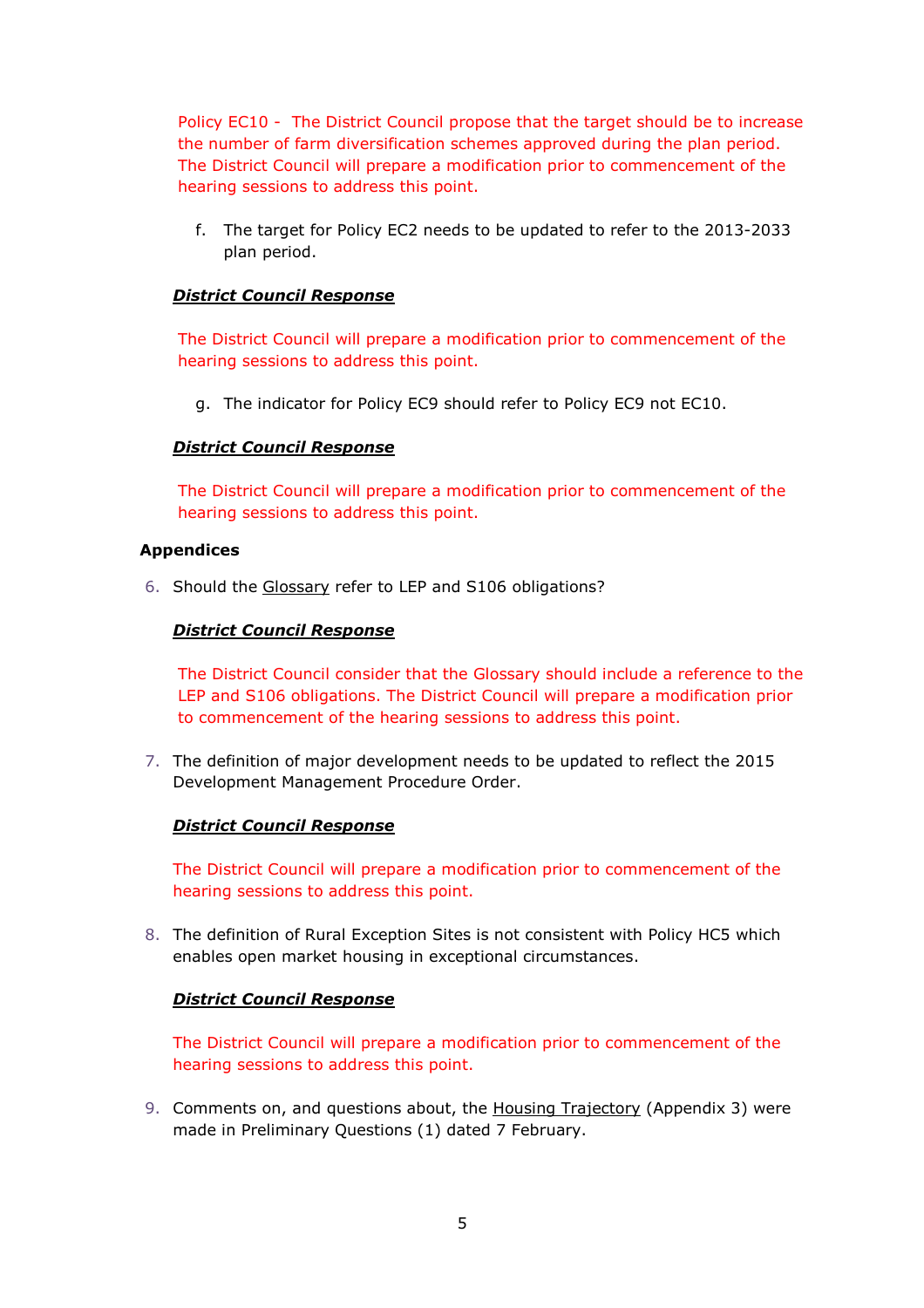Policy EC10 - The District Council propose that the target should be to increase the number of farm diversification schemes approved during the plan period. The District Council will prepare a modification prior to commencement of the hearing sessions to address this point.

f. The target for Policy EC2 needs to be updated to refer to the 2013-2033 plan period.

### District Council Response

The District Council will prepare a modification prior to commencement of the hearing sessions to address this point.

g. The indicator for Policy EC9 should refer to Policy EC9 not EC10.

#### District Council Response

The District Council will prepare a modification prior to commencement of the hearing sessions to address this point.

#### Appendices

6. Should the Glossary refer to LEP and S106 obligations?

#### District Council Response

The District Council consider that the Glossary should include a reference to the LEP and S106 obligations. The District Council will prepare a modification prior to commencement of the hearing sessions to address this point.

7. The definition of major development needs to be updated to reflect the 2015 Development Management Procedure Order.

#### District Council Response

The District Council will prepare a modification prior to commencement of the hearing sessions to address this point.

8. The definition of Rural Exception Sites is not consistent with Policy HC5 which enables open market housing in exceptional circumstances.

#### District Council Response

The District Council will prepare a modification prior to commencement of the hearing sessions to address this point.

9. Comments on, and questions about, the Housing Trajectory (Appendix 3) were made in Preliminary Questions (1) dated 7 February.